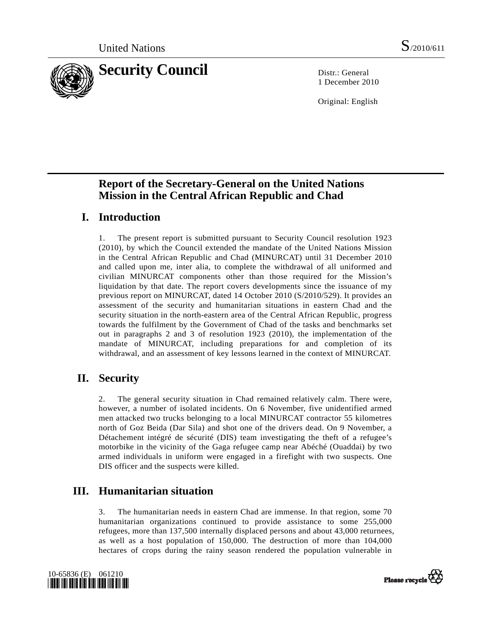

1 December 2010

Original: English

# **Report of the Secretary-General on the United Nations Mission in the Central African Republic and Chad**

# **I. Introduction**

1. The present report is submitted pursuant to Security Council resolution 1923 (2010), by which the Council extended the mandate of the United Nations Mission in the Central African Republic and Chad (MINURCAT) until 31 December 2010 and called upon me, inter alia, to complete the withdrawal of all uniformed and civilian MINURCAT components other than those required for the Mission's liquidation by that date. The report covers developments since the issuance of my previous report on MINURCAT, dated 14 October 2010 (S/2010/529). It provides an assessment of the security and humanitarian situations in eastern Chad and the security situation in the north-eastern area of the Central African Republic, progress towards the fulfilment by the Government of Chad of the tasks and benchmarks set out in paragraphs 2 and 3 of resolution 1923 (2010), the implementation of the mandate of MINURCAT, including preparations for and completion of its withdrawal, and an assessment of key lessons learned in the context of MINURCAT.

# **II. Security**

2. The general security situation in Chad remained relatively calm. There were, however, a number of isolated incidents. On 6 November, five unidentified armed men attacked two trucks belonging to a local MINURCAT contractor 55 kilometres north of Goz Beida (Dar Sila) and shot one of the drivers dead. On 9 November, a Détachement intégré de sécurité (DIS) team investigating the theft of a refugee's motorbike in the vicinity of the Gaga refugee camp near Abéché (Ouaddai) by two armed individuals in uniform were engaged in a firefight with two suspects. One DIS officer and the suspects were killed.

# **III. Humanitarian situation**

3. The humanitarian needs in eastern Chad are immense. In that region, some 70 humanitarian organizations continued to provide assistance to some 255,000 refugees, more than 137,500 internally displaced persons and about 43,000 returnees, as well as a host population of 150,000. The destruction of more than 104,000 hectares of crops during the rainy season rendered the population vulnerable in



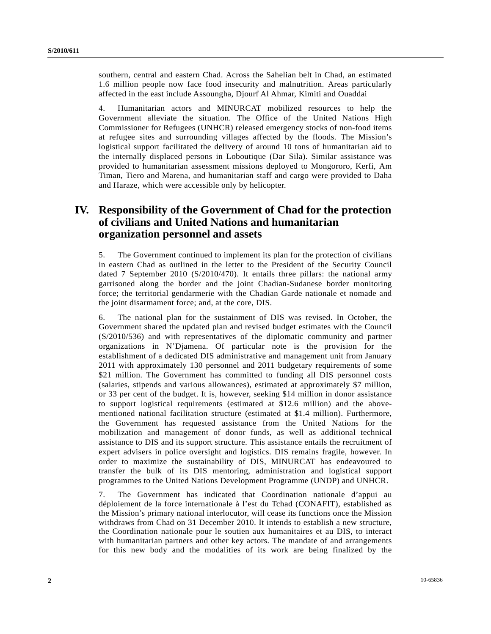southern, central and eastern Chad. Across the Sahelian belt in Chad, an estimated 1.6 million people now face food insecurity and malnutrition. Areas particularly affected in the east include Assoungha, Djourf Al Ahmar, Kimiti and Ouaddai

4. Humanitarian actors and MINURCAT mobilized resources to help the Government alleviate the situation. The Office of the United Nations High Commissioner for Refugees (UNHCR) released emergency stocks of non-food items at refugee sites and surrounding villages affected by the floods. The Mission's logistical support facilitated the delivery of around 10 tons of humanitarian aid to the internally displaced persons in Loboutique (Dar Sila). Similar assistance was provided to humanitarian assessment missions deployed to Mongororo, Kerfi, Am Timan, Tiero and Marena, and humanitarian staff and cargo were provided to Daha and Haraze, which were accessible only by helicopter.

## **IV. Responsibility of the Government of Chad for the protection of civilians and United Nations and humanitarian organization personnel and assets**

5. The Government continued to implement its plan for the protection of civilians in eastern Chad as outlined in the letter to the President of the Security Council dated 7 September 2010 (S/2010/470). It entails three pillars: the national army garrisoned along the border and the joint Chadian-Sudanese border monitoring force; the territorial gendarmerie with the Chadian Garde nationale et nomade and the joint disarmament force; and, at the core, DIS.

6. The national plan for the sustainment of DIS was revised. In October, the Government shared the updated plan and revised budget estimates with the Council (S/2010/536) and with representatives of the diplomatic community and partner organizations in N'Djamena. Of particular note is the provision for the establishment of a dedicated DIS administrative and management unit from January 2011 with approximately 130 personnel and 2011 budgetary requirements of some \$21 million. The Government has committed to funding all DIS personnel costs (salaries, stipends and various allowances), estimated at approximately \$7 million, or 33 per cent of the budget. It is, however, seeking \$14 million in donor assistance to support logistical requirements (estimated at \$12.6 million) and the abovementioned national facilitation structure (estimated at \$1.4 million). Furthermore, the Government has requested assistance from the United Nations for the mobilization and management of donor funds, as well as additional technical assistance to DIS and its support structure. This assistance entails the recruitment of expert advisers in police oversight and logistics. DIS remains fragile, however. In order to maximize the sustainability of DIS, MINURCAT has endeavoured to transfer the bulk of its DIS mentoring, administration and logistical support programmes to the United Nations Development Programme (UNDP) and UNHCR.

7. The Government has indicated that Coordination nationale d'appui au déploiement de la force internationale à l'est du Tchad (CONAFIT), established as the Mission's primary national interlocutor, will cease its functions once the Mission withdraws from Chad on 31 December 2010. It intends to establish a new structure, the Coordination nationale pour le soutien aux humanitaires et au DIS, to interact with humanitarian partners and other key actors. The mandate of and arrangements for this new body and the modalities of its work are being finalized by the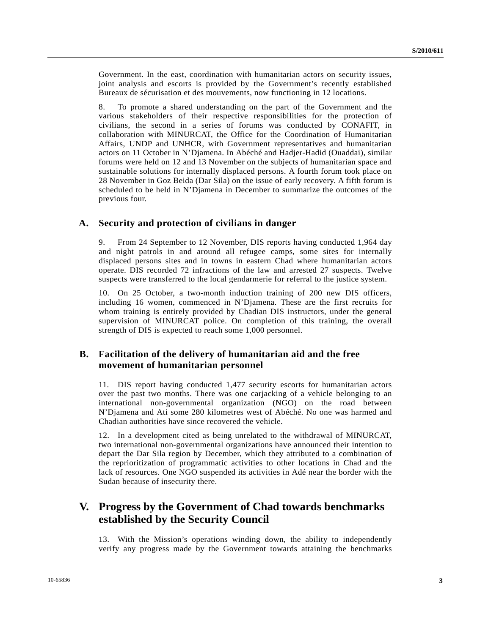Government. In the east, coordination with humanitarian actors on security issues, joint analysis and escorts is provided by the Government's recently established Bureaux de sécurisation et des mouvements, now functioning in 12 locations.

8. To promote a shared understanding on the part of the Government and the various stakeholders of their respective responsibilities for the protection of civilians, the second in a series of forums was conducted by CONAFIT, in collaboration with MINURCAT, the Office for the Coordination of Humanitarian Affairs, UNDP and UNHCR, with Government representatives and humanitarian actors on 11 October in N'Djamena. In Abéché and Hadjer-Hadid (Ouaddai), similar forums were held on 12 and 13 November on the subjects of humanitarian space and sustainable solutions for internally displaced persons. A fourth forum took place on 28 November in Goz Beida (Dar Sila) on the issue of early recovery. A fifth forum is scheduled to be held in N'Djamena in December to summarize the outcomes of the previous four.

### **A. Security and protection of civilians in danger**

9. From 24 September to 12 November, DIS reports having conducted 1,964 day and night patrols in and around all refugee camps, some sites for internally displaced persons sites and in towns in eastern Chad where humanitarian actors operate. DIS recorded 72 infractions of the law and arrested 27 suspects. Twelve suspects were transferred to the local gendarmerie for referral to the justice system.

10. On 25 October, a two-month induction training of 200 new DIS officers, including 16 women, commenced in N'Djamena. These are the first recruits for whom training is entirely provided by Chadian DIS instructors, under the general supervision of MINURCAT police. On completion of this training, the overall strength of DIS is expected to reach some 1,000 personnel.

## **B. Facilitation of the delivery of humanitarian aid and the free movement of humanitarian personnel**

11. DIS report having conducted 1,477 security escorts for humanitarian actors over the past two months. There was one carjacking of a vehicle belonging to an international non-governmental organization (NGO) on the road between N'Djamena and Ati some 280 kilometres west of Abéché. No one was harmed and Chadian authorities have since recovered the vehicle.

12. In a development cited as being unrelated to the withdrawal of MINURCAT, two international non-governmental organizations have announced their intention to depart the Dar Sila region by December, which they attributed to a combination of the reprioritization of programmatic activities to other locations in Chad and the lack of resources. One NGO suspended its activities in Adé near the border with the Sudan because of insecurity there.

# **V. Progress by the Government of Chad towards benchmarks established by the Security Council**

13. With the Mission's operations winding down, the ability to independently verify any progress made by the Government towards attaining the benchmarks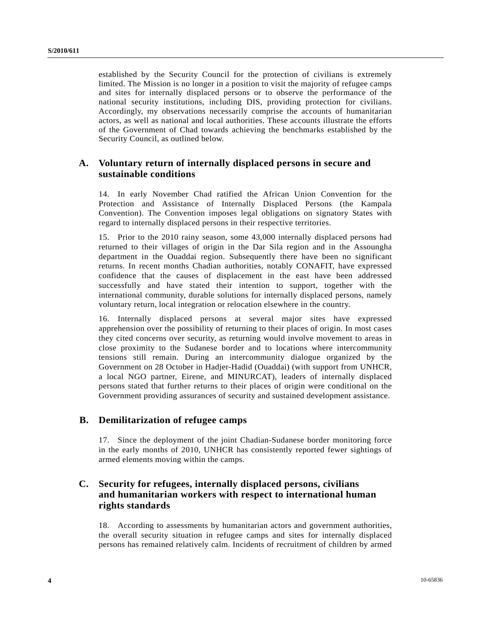established by the Security Council for the protection of civilians is extremely limited. The Mission is no longer in a position to visit the majority of refugee camps and sites for internally displaced persons or to observe the performance of the national security institutions, including DIS, providing protection for civilians. Accordingly, my observations necessarily comprise the accounts of humanitarian actors, as well as national and local authorities. These accounts illustrate the efforts of the Government of Chad towards achieving the benchmarks established by the Security Council, as outlined below.

## **A. Voluntary return of internally displaced persons in secure and sustainable conditions**

14. In early November Chad ratified the African Union Convention for the Protection and Assistance of Internally Displaced Persons (the Kampala Convention). The Convention imposes legal obligations on signatory States with regard to internally displaced persons in their respective territories.

15. Prior to the 2010 rainy season, some 43,000 internally displaced persons had returned to their villages of origin in the Dar Sila region and in the Assoungha department in the Ouaddai region. Subsequently there have been no significant returns. In recent months Chadian authorities, notably CONAFIT, have expressed confidence that the causes of displacement in the east have been addressed successfully and have stated their intention to support, together with the international community, durable solutions for internally displaced persons, namely voluntary return, local integration or relocation elsewhere in the country.

16. Internally displaced persons at several major sites have expressed apprehension over the possibility of returning to their places of origin. In most cases they cited concerns over security, as returning would involve movement to areas in close proximity to the Sudanese border and to locations where intercommunity tensions still remain. During an intercommunity dialogue organized by the Government on 28 October in Hadjer-Hadid (Ouaddai) (with support from UNHCR, a local NGO partner, Eirene, and MINURCAT), leaders of internally displaced persons stated that further returns to their places of origin were conditional on the Government providing assurances of security and sustained development assistance.

## **B. Demilitarization of refugee camps**

17. Since the deployment of the joint Chadian-Sudanese border monitoring force in the early months of 2010, UNHCR has consistently reported fewer sightings of armed elements moving within the camps.

## **C. Security for refugees, internally displaced persons, civilians and humanitarian workers with respect to international human rights standards**

18. According to assessments by humanitarian actors and government authorities, the overall security situation in refugee camps and sites for internally displaced persons has remained relatively calm. Incidents of recruitment of children by armed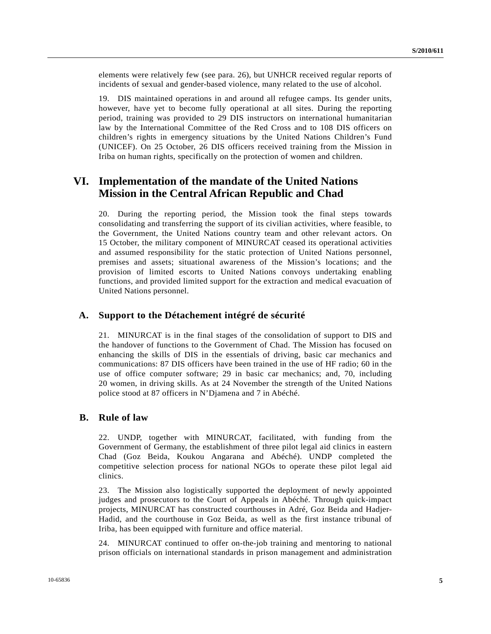elements were relatively few (see para. 26), but UNHCR received regular reports of incidents of sexual and gender-based violence, many related to the use of alcohol.

19. DIS maintained operations in and around all refugee camps. Its gender units, however, have yet to become fully operational at all sites. During the reporting period, training was provided to 29 DIS instructors on international humanitarian law by the International Committee of the Red Cross and to 108 DIS officers on children's rights in emergency situations by the United Nations Children's Fund (UNICEF). On 25 October, 26 DIS officers received training from the Mission in Iriba on human rights, specifically on the protection of women and children.

## **VI. Implementation of the mandate of the United Nations Mission in the Central African Republic and Chad**

20. During the reporting period, the Mission took the final steps towards consolidating and transferring the support of its civilian activities, where feasible, to the Government, the United Nations country team and other relevant actors. On 15 October, the military component of MINURCAT ceased its operational activities and assumed responsibility for the static protection of United Nations personnel, premises and assets; situational awareness of the Mission's locations; and the provision of limited escorts to United Nations convoys undertaking enabling functions, and provided limited support for the extraction and medical evacuation of United Nations personnel.

### **A. Support to the Détachement intégré de sécurité**

21. MINURCAT is in the final stages of the consolidation of support to DIS and the handover of functions to the Government of Chad. The Mission has focused on enhancing the skills of DIS in the essentials of driving, basic car mechanics and communications: 87 DIS officers have been trained in the use of HF radio; 60 in the use of office computer software; 29 in basic car mechanics; and, 70, including 20 women, in driving skills. As at 24 November the strength of the United Nations police stood at 87 officers in N'Djamena and 7 in Abéché.

#### **B. Rule of law**

22. UNDP, together with MINURCAT, facilitated, with funding from the Government of Germany, the establishment of three pilot legal aid clinics in eastern Chad (Goz Beida, Koukou Angarana and Abéché). UNDP completed the competitive selection process for national NGOs to operate these pilot legal aid clinics.

23. The Mission also logistically supported the deployment of newly appointed judges and prosecutors to the Court of Appeals in Abéché. Through quick-impact projects, MINURCAT has constructed courthouses in Adré, Goz Beida and Hadjer-Hadid, and the courthouse in Goz Beida, as well as the first instance tribunal of Iriba, has been equipped with furniture and office material.

24. MINURCAT continued to offer on-the-job training and mentoring to national prison officials on international standards in prison management and administration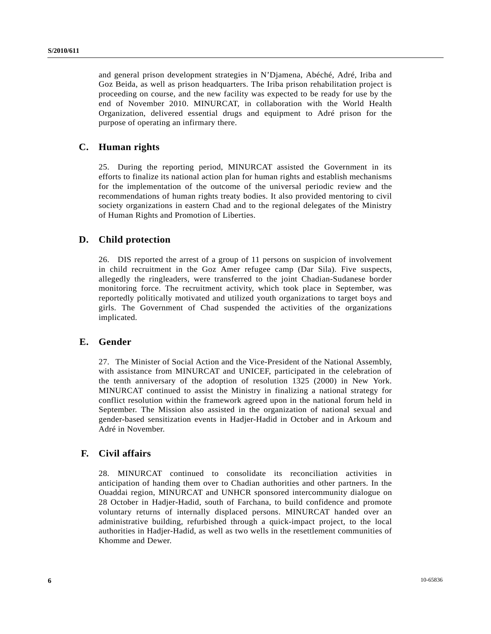and general prison development strategies in N'Djamena, Abéché, Adré, Iriba and Goz Beida, as well as prison headquarters. The Iriba prison rehabilitation project is proceeding on course, and the new facility was expected to be ready for use by the end of November 2010. MINURCAT, in collaboration with the World Health Organization, delivered essential drugs and equipment to Adré prison for the purpose of operating an infirmary there.

## **C. Human rights**

25. During the reporting period, MINURCAT assisted the Government in its efforts to finalize its national action plan for human rights and establish mechanisms for the implementation of the outcome of the universal periodic review and the recommendations of human rights treaty bodies. It also provided mentoring to civil society organizations in eastern Chad and to the regional delegates of the Ministry of Human Rights and Promotion of Liberties.

### **D. Child protection**

26. DIS reported the arrest of a group of 11 persons on suspicion of involvement in child recruitment in the Goz Amer refugee camp (Dar Sila). Five suspects, allegedly the ringleaders, were transferred to the joint Chadian-Sudanese border monitoring force. The recruitment activity, which took place in September, was reportedly politically motivated and utilized youth organizations to target boys and girls. The Government of Chad suspended the activities of the organizations implicated.

### **E. Gender**

27. The Minister of Social Action and the Vice-President of the National Assembly, with assistance from MINURCAT and UNICEF, participated in the celebration of the tenth anniversary of the adoption of resolution 1325 (2000) in New York. MINURCAT continued to assist the Ministry in finalizing a national strategy for conflict resolution within the framework agreed upon in the national forum held in September. The Mission also assisted in the organization of national sexual and gender-based sensitization events in Hadjer-Hadid in October and in Arkoum and Adré in November.

### **F. Civil affairs**

28. MINURCAT continued to consolidate its reconciliation activities in anticipation of handing them over to Chadian authorities and other partners. In the Ouaddai region, MINURCAT and UNHCR sponsored intercommunity dialogue on 28 October in Hadjer-Hadid, south of Farchana, to build confidence and promote voluntary returns of internally displaced persons. MINURCAT handed over an administrative building, refurbished through a quick-impact project, to the local authorities in Hadjer-Hadid, as well as two wells in the resettlement communities of Khomme and Dewer.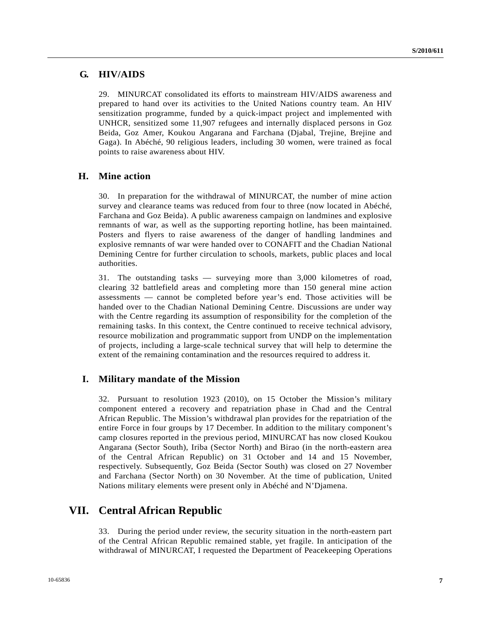## **G. HIV/AIDS**

29. MINURCAT consolidated its efforts to mainstream HIV/AIDS awareness and prepared to hand over its activities to the United Nations country team. An HIV sensitization programme, funded by a quick-impact project and implemented with UNHCR, sensitized some 11,907 refugees and internally displaced persons in Goz Beida, Goz Amer, Koukou Angarana and Farchana (Djabal, Trejine, Brejine and Gaga). In Abéché, 90 religious leaders, including 30 women, were trained as focal points to raise awareness about HIV.

### **H. Mine action**

30. In preparation for the withdrawal of MINURCAT, the number of mine action survey and clearance teams was reduced from four to three (now located in Abéché, Farchana and Goz Beida). A public awareness campaign on landmines and explosive remnants of war, as well as the supporting reporting hotline, has been maintained. Posters and flyers to raise awareness of the danger of handling landmines and explosive remnants of war were handed over to CONAFIT and the Chadian National Demining Centre for further circulation to schools, markets, public places and local authorities.

31. The outstanding tasks — surveying more than 3,000 kilometres of road, clearing 32 battlefield areas and completing more than 150 general mine action assessments — cannot be completed before year's end. Those activities will be handed over to the Chadian National Demining Centre. Discussions are under way with the Centre regarding its assumption of responsibility for the completion of the remaining tasks. In this context, the Centre continued to receive technical advisory, resource mobilization and programmatic support from UNDP on the implementation of projects, including a large-scale technical survey that will help to determine the extent of the remaining contamination and the resources required to address it.

### **I. Military mandate of the Mission**

32. Pursuant to resolution 1923 (2010), on 15 October the Mission's military component entered a recovery and repatriation phase in Chad and the Central African Republic. The Mission's withdrawal plan provides for the repatriation of the entire Force in four groups by 17 December. In addition to the military component's camp closures reported in the previous period, MINURCAT has now closed Koukou Angarana (Sector South), Iriba (Sector North) and Birao (in the north-eastern area of the Central African Republic) on 31 October and 14 and 15 November, respectively. Subsequently, Goz Beida (Sector South) was closed on 27 November and Farchana (Sector North) on 30 November. At the time of publication, United Nations military elements were present only in Abéché and N'Djamena.

## **VII. Central African Republic**

33. During the period under review, the security situation in the north-eastern part of the Central African Republic remained stable, yet fragile. In anticipation of the withdrawal of MINURCAT, I requested the Department of Peacekeeping Operations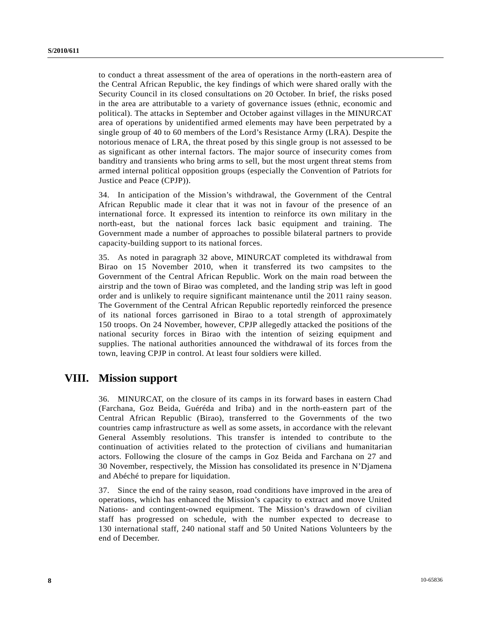to conduct a threat assessment of the area of operations in the north-eastern area of the Central African Republic, the key findings of which were shared orally with the Security Council in its closed consultations on 20 October. In brief, the risks posed in the area are attributable to a variety of governance issues (ethnic, economic and political). The attacks in September and October against villages in the MINURCAT area of operations by unidentified armed elements may have been perpetrated by a single group of 40 to 60 members of the Lord's Resistance Army (LRA). Despite the notorious menace of LRA, the threat posed by this single group is not assessed to be as significant as other internal factors. The major source of insecurity comes from banditry and transients who bring arms to sell, but the most urgent threat stems from armed internal political opposition groups (especially the Convention of Patriots for Justice and Peace (CPJP)).

34. In anticipation of the Mission's withdrawal, the Government of the Central African Republic made it clear that it was not in favour of the presence of an international force. It expressed its intention to reinforce its own military in the north-east, but the national forces lack basic equipment and training. The Government made a number of approaches to possible bilateral partners to provide capacity-building support to its national forces.

35. As noted in paragraph 32 above, MINURCAT completed its withdrawal from Birao on 15 November 2010, when it transferred its two campsites to the Government of the Central African Republic. Work on the main road between the airstrip and the town of Birao was completed, and the landing strip was left in good order and is unlikely to require significant maintenance until the 2011 rainy season. The Government of the Central African Republic reportedly reinforced the presence of its national forces garrisoned in Birao to a total strength of approximately 150 troops. On 24 November, however, CPJP allegedly attacked the positions of the national security forces in Birao with the intention of seizing equipment and supplies. The national authorities announced the withdrawal of its forces from the town, leaving CPJP in control. At least four soldiers were killed.

## **VIII. Mission support**

36. MINURCAT, on the closure of its camps in its forward bases in eastern Chad (Farchana, Goz Beida, Guéréda and Iriba) and in the north-eastern part of the Central African Republic (Birao), transferred to the Governments of the two countries camp infrastructure as well as some assets, in accordance with the relevant General Assembly resolutions. This transfer is intended to contribute to the continuation of activities related to the protection of civilians and humanitarian actors. Following the closure of the camps in Goz Beida and Farchana on 27 and 30 November, respectively, the Mission has consolidated its presence in N'Djamena and Abéché to prepare for liquidation.

37. Since the end of the rainy season, road conditions have improved in the area of operations, which has enhanced the Mission's capacity to extract and move United Nations- and contingent-owned equipment. The Mission's drawdown of civilian staff has progressed on schedule, with the number expected to decrease to 130 international staff, 240 national staff and 50 United Nations Volunteers by the end of December.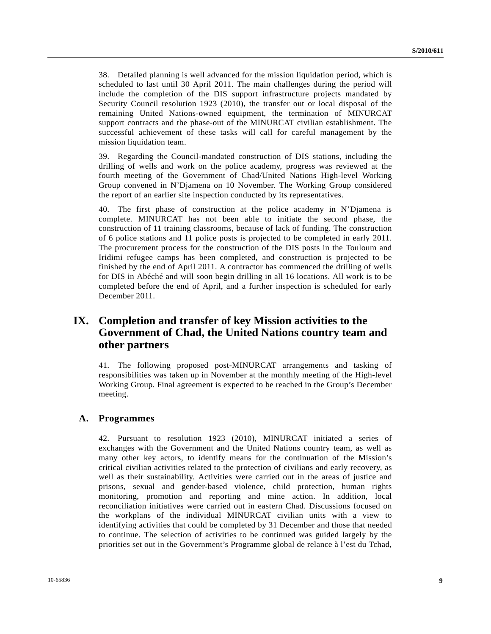38. Detailed planning is well advanced for the mission liquidation period, which is scheduled to last until 30 April 2011. The main challenges during the period will include the completion of the DIS support infrastructure projects mandated by Security Council resolution 1923 (2010), the transfer out or local disposal of the remaining United Nations-owned equipment, the termination of MINURCAT support contracts and the phase-out of the MINURCAT civilian establishment. The successful achievement of these tasks will call for careful management by the mission liquidation team.

39. Regarding the Council-mandated construction of DIS stations, including the drilling of wells and work on the police academy, progress was reviewed at the fourth meeting of the Government of Chad/United Nations High-level Working Group convened in N'Djamena on 10 November. The Working Group considered the report of an earlier site inspection conducted by its representatives.

40. The first phase of construction at the police academy in N'Djamena is complete. MINURCAT has not been able to initiate the second phase, the construction of 11 training classrooms, because of lack of funding. The construction of 6 police stations and 11 police posts is projected to be completed in early 2011. The procurement process for the construction of the DIS posts in the Touloum and Iridimi refugee camps has been completed, and construction is projected to be finished by the end of April 2011. A contractor has commenced the drilling of wells for DIS in Abéché and will soon begin drilling in all 16 locations. All work is to be completed before the end of April, and a further inspection is scheduled for early December 2011.

# **IX. Completion and transfer of key Mission activities to the Government of Chad, the United Nations country team and other partners**

41. The following proposed post-MINURCAT arrangements and tasking of responsibilities was taken up in November at the monthly meeting of the High-level Working Group. Final agreement is expected to be reached in the Group's December meeting.

### **A. Programmes**

42. Pursuant to resolution 1923 (2010), MINURCAT initiated a series of exchanges with the Government and the United Nations country team, as well as many other key actors, to identify means for the continuation of the Mission's critical civilian activities related to the protection of civilians and early recovery, as well as their sustainability. Activities were carried out in the areas of justice and prisons, sexual and gender-based violence, child protection, human rights monitoring, promotion and reporting and mine action. In addition, local reconciliation initiatives were carried out in eastern Chad. Discussions focused on the workplans of the individual MINURCAT civilian units with a view to identifying activities that could be completed by 31 December and those that needed to continue. The selection of activities to be continued was guided largely by the priorities set out in the Government's Programme global de relance à l'est du Tchad,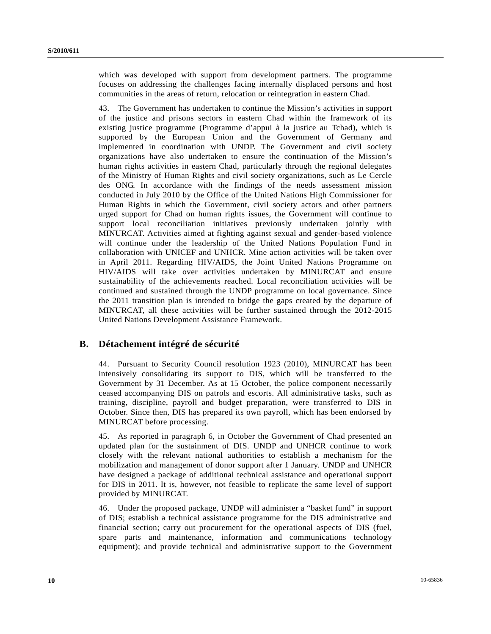which was developed with support from development partners. The programme focuses on addressing the challenges facing internally displaced persons and host communities in the areas of return, relocation or reintegration in eastern Chad.

43. The Government has undertaken to continue the Mission's activities in support of the justice and prisons sectors in eastern Chad within the framework of its existing justice programme (Programme d'appui à la justice au Tchad), which is supported by the European Union and the Government of Germany and implemented in coordination with UNDP. The Government and civil society organizations have also undertaken to ensure the continuation of the Mission's human rights activities in eastern Chad, particularly through the regional delegates of the Ministry of Human Rights and civil society organizations, such as Le Cercle des ONG. In accordance with the findings of the needs assessment mission conducted in July 2010 by the Office of the United Nations High Commissioner for Human Rights in which the Government, civil society actors and other partners urged support for Chad on human rights issues, the Government will continue to support local reconciliation initiatives previously undertaken jointly with MINURCAT. Activities aimed at fighting against sexual and gender-based violence will continue under the leadership of the United Nations Population Fund in collaboration with UNICEF and UNHCR. Mine action activities will be taken over in April 2011. Regarding HIV/AIDS, the Joint United Nations Programme on HIV/AIDS will take over activities undertaken by MINURCAT and ensure sustainability of the achievements reached. Local reconciliation activities will be continued and sustained through the UNDP programme on local governance. Since the 2011 transition plan is intended to bridge the gaps created by the departure of MINURCAT, all these activities will be further sustained through the 2012-2015 United Nations Development Assistance Framework.

## **B. Détachement intégré de sécurité**

44. Pursuant to Security Council resolution 1923 (2010), MINURCAT has been intensively consolidating its support to DIS, which will be transferred to the Government by 31 December. As at 15 October, the police component necessarily ceased accompanying DIS on patrols and escorts. All administrative tasks, such as training, discipline, payroll and budget preparation, were transferred to DIS in October. Since then, DIS has prepared its own payroll, which has been endorsed by MINURCAT before processing.

45. As reported in paragraph 6, in October the Government of Chad presented an updated plan for the sustainment of DIS. UNDP and UNHCR continue to work closely with the relevant national authorities to establish a mechanism for the mobilization and management of donor support after 1 January. UNDP and UNHCR have designed a package of additional technical assistance and operational support for DIS in 2011. It is, however, not feasible to replicate the same level of support provided by MINURCAT.

46. Under the proposed package, UNDP will administer a "basket fund" in support of DIS; establish a technical assistance programme for the DIS administrative and financial section; carry out procurement for the operational aspects of DIS (fuel, spare parts and maintenance, information and communications technology equipment); and provide technical and administrative support to the Government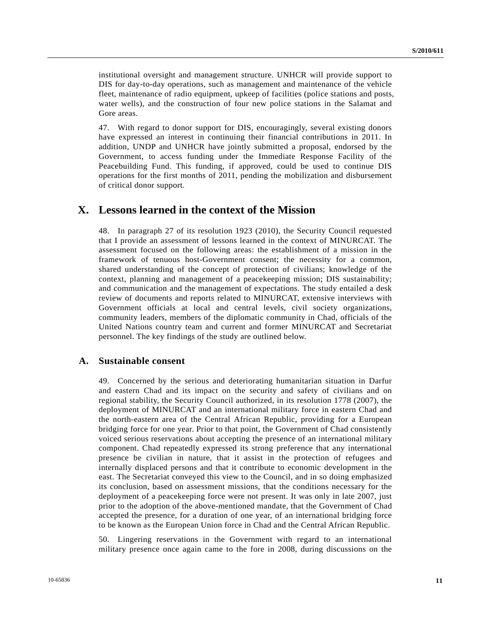institutional oversight and management structure. UNHCR will provide support to DIS for day-to-day operations, such as management and maintenance of the vehicle fleet, maintenance of radio equipment, upkeep of facilities (police stations and posts, water wells), and the construction of four new police stations in the Salamat and Gore areas.

47. With regard to donor support for DIS, encouragingly, several existing donors have expressed an interest in continuing their financial contributions in 2011. In addition, UNDP and UNHCR have jointly submitted a proposal, endorsed by the Government, to access funding under the Immediate Response Facility of the Peacebuilding Fund. This funding, if approved, could be used to continue DIS operations for the first months of 2011, pending the mobilization and disbursement of critical donor support.

## **X. Lessons learned in the context of the Mission**

48. In paragraph 27 of its resolution 1923 (2010), the Security Council requested that I provide an assessment of lessons learned in the context of MINURCAT. The assessment focused on the following areas: the establishment of a mission in the framework of tenuous host-Government consent; the necessity for a common, shared understanding of the concept of protection of civilians; knowledge of the context, planning and management of a peacekeeping mission; DIS sustainability; and communication and the management of expectations. The study entailed a desk review of documents and reports related to MINURCAT, extensive interviews with Government officials at local and central levels, civil society organizations, community leaders, members of the diplomatic community in Chad, officials of the United Nations country team and current and former MINURCAT and Secretariat personnel. The key findings of the study are outlined below.

#### **A. Sustainable consent**

49. Concerned by the serious and deteriorating humanitarian situation in Darfur and eastern Chad and its impact on the security and safety of civilians and on regional stability, the Security Council authorized, in its resolution 1778 (2007), the deployment of MINURCAT and an international military force in eastern Chad and the north-eastern area of the Central African Republic, providing for a European bridging force for one year. Prior to that point, the Government of Chad consistently voiced serious reservations about accepting the presence of an international military component. Chad repeatedly expressed its strong preference that any international presence be civilian in nature, that it assist in the protection of refugees and internally displaced persons and that it contribute to economic development in the east. The Secretariat conveyed this view to the Council, and in so doing emphasized its conclusion, based on assessment missions, that the conditions necessary for the deployment of a peacekeeping force were not present. It was only in late 2007, just prior to the adoption of the above-mentioned mandate, that the Government of Chad accepted the presence, for a duration of one year, of an international bridging force to be known as the European Union force in Chad and the Central African Republic.

50. Lingering reservations in the Government with regard to an international military presence once again came to the fore in 2008, during discussions on the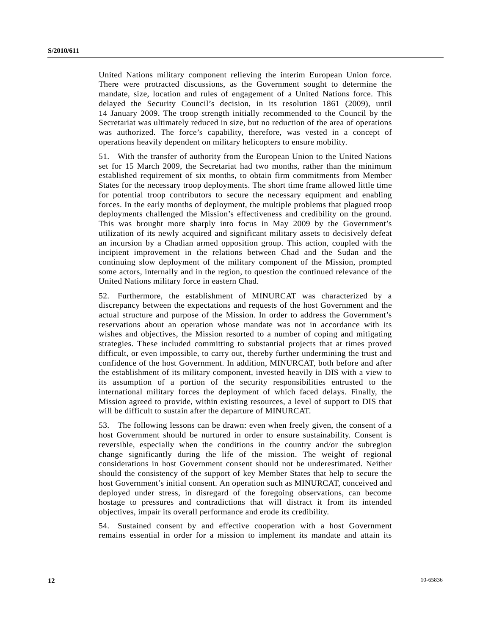United Nations military component relieving the interim European Union force. There were protracted discussions, as the Government sought to determine the mandate, size, location and rules of engagement of a United Nations force. This delayed the Security Council's decision, in its resolution 1861 (2009), until 14 January 2009. The troop strength initially recommended to the Council by the Secretariat was ultimately reduced in size, but no reduction of the area of operations was authorized. The force's capability, therefore, was vested in a concept of operations heavily dependent on military helicopters to ensure mobility.

51. With the transfer of authority from the European Union to the United Nations set for 15 March 2009, the Secretariat had two months, rather than the minimum established requirement of six months, to obtain firm commitments from Member States for the necessary troop deployments. The short time frame allowed little time for potential troop contributors to secure the necessary equipment and enabling forces. In the early months of deployment, the multiple problems that plagued troop deployments challenged the Mission's effectiveness and credibility on the ground. This was brought more sharply into focus in May 2009 by the Government's utilization of its newly acquired and significant military assets to decisively defeat an incursion by a Chadian armed opposition group. This action, coupled with the incipient improvement in the relations between Chad and the Sudan and the continuing slow deployment of the military component of the Mission, prompted some actors, internally and in the region, to question the continued relevance of the United Nations military force in eastern Chad.

52. Furthermore, the establishment of MINURCAT was characterized by a discrepancy between the expectations and requests of the host Government and the actual structure and purpose of the Mission. In order to address the Government's reservations about an operation whose mandate was not in accordance with its wishes and objectives, the Mission resorted to a number of coping and mitigating strategies. These included committing to substantial projects that at times proved difficult, or even impossible, to carry out, thereby further undermining the trust and confidence of the host Government. In addition, MINURCAT, both before and after the establishment of its military component, invested heavily in DIS with a view to its assumption of a portion of the security responsibilities entrusted to the international military forces the deployment of which faced delays. Finally, the Mission agreed to provide, within existing resources, a level of support to DIS that will be difficult to sustain after the departure of MINURCAT.

53. The following lessons can be drawn: even when freely given, the consent of a host Government should be nurtured in order to ensure sustainability. Consent is reversible, especially when the conditions in the country and/or the subregion change significantly during the life of the mission. The weight of regional considerations in host Government consent should not be underestimated. Neither should the consistency of the support of key Member States that help to secure the host Government's initial consent. An operation such as MINURCAT, conceived and deployed under stress, in disregard of the foregoing observations, can become hostage to pressures and contradictions that will distract it from its intended objectives, impair its overall performance and erode its credibility.

54. Sustained consent by and effective cooperation with a host Government remains essential in order for a mission to implement its mandate and attain its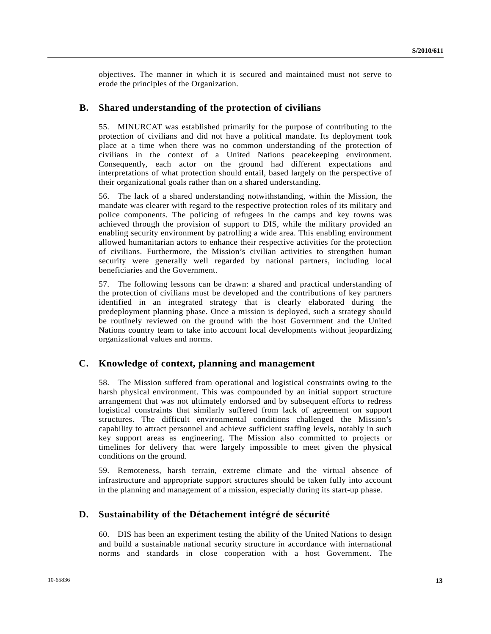objectives. The manner in which it is secured and maintained must not serve to erode the principles of the Organization.

#### **B. Shared understanding of the protection of civilians**

55. MINURCAT was established primarily for the purpose of contributing to the protection of civilians and did not have a political mandate. Its deployment took place at a time when there was no common understanding of the protection of civilians in the context of a United Nations peacekeeping environment. Consequently, each actor on the ground had different expectations and interpretations of what protection should entail, based largely on the perspective of their organizational goals rather than on a shared understanding.

56. The lack of a shared understanding notwithstanding, within the Mission, the mandate was clearer with regard to the respective protection roles of its military and police components. The policing of refugees in the camps and key towns was achieved through the provision of support to DIS, while the military provided an enabling security environment by patrolling a wide area. This enabling environment allowed humanitarian actors to enhance their respective activities for the protection of civilians. Furthermore, the Mission's civilian activities to strengthen human security were generally well regarded by national partners, including local beneficiaries and the Government.

57. The following lessons can be drawn: a shared and practical understanding of the protection of civilians must be developed and the contributions of key partners identified in an integrated strategy that is clearly elaborated during the predeployment planning phase. Once a mission is deployed, such a strategy should be routinely reviewed on the ground with the host Government and the United Nations country team to take into account local developments without jeopardizing organizational values and norms.

#### **C. Knowledge of context, planning and management**

58. The Mission suffered from operational and logistical constraints owing to the harsh physical environment. This was compounded by an initial support structure arrangement that was not ultimately endorsed and by subsequent efforts to redress logistical constraints that similarly suffered from lack of agreement on support structures. The difficult environmental conditions challenged the Mission's capability to attract personnel and achieve sufficient staffing levels, notably in such key support areas as engineering. The Mission also committed to projects or timelines for delivery that were largely impossible to meet given the physical conditions on the ground.

59. Remoteness, harsh terrain, extreme climate and the virtual absence of infrastructure and appropriate support structures should be taken fully into account in the planning and management of a mission, especially during its start-up phase.

## **D. Sustainability of the Détachement intégré de sécurité**

60. DIS has been an experiment testing the ability of the United Nations to design and build a sustainable national security structure in accordance with international norms and standards in close cooperation with a host Government. The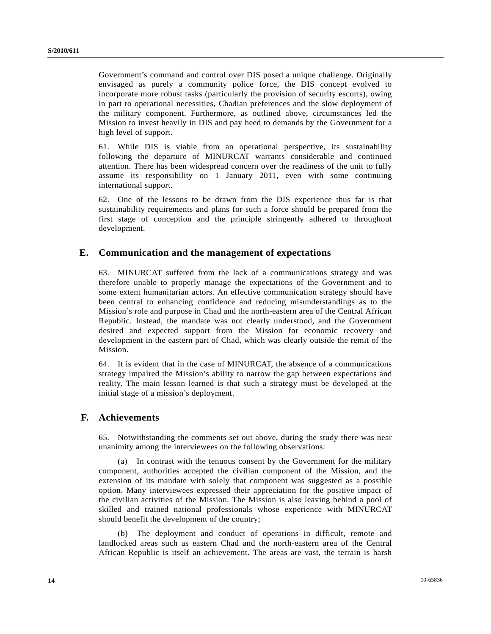Government's command and control over DIS posed a unique challenge. Originally envisaged as purely a community police force, the DIS concept evolved to incorporate more robust tasks (particularly the provision of security escorts), owing in part to operational necessities, Chadian preferences and the slow deployment of the military component. Furthermore, as outlined above, circumstances led the Mission to invest heavily in DIS and pay heed to demands by the Government for a high level of support.

61. While DIS is viable from an operational perspective, its sustainability following the departure of MINURCAT warrants considerable and continued attention. There has been widespread concern over the readiness of the unit to fully assume its responsibility on 1 January 2011, even with some continuing international support.

62. One of the lessons to be drawn from the DIS experience thus far is that sustainability requirements and plans for such a force should be prepared from the first stage of conception and the principle stringently adhered to throughout development.

### **E. Communication and the management of expectations**

63. MINURCAT suffered from the lack of a communications strategy and was therefore unable to properly manage the expectations of the Government and to some extent humanitarian actors. An effective communication strategy should have been central to enhancing confidence and reducing misunderstandings as to the Mission's role and purpose in Chad and the north-eastern area of the Central African Republic. Instead, the mandate was not clearly understood, and the Government desired and expected support from the Mission for economic recovery and development in the eastern part of Chad, which was clearly outside the remit of the Mission.

64. It is evident that in the case of MINURCAT, the absence of a communications strategy impaired the Mission's ability to narrow the gap between expectations and reality. The main lesson learned is that such a strategy must be developed at the initial stage of a mission's deployment.

### **F. Achievements**

65. Notwithstanding the comments set out above, during the study there was near unanimity among the interviewees on the following observations:

 (a) In contrast with the tenuous consent by the Government for the military component, authorities accepted the civilian component of the Mission, and the extension of its mandate with solely that component was suggested as a possible option. Many interviewees expressed their appreciation for the positive impact of the civilian activities of the Mission. The Mission is also leaving behind a pool of skilled and trained national professionals whose experience with MINURCAT should benefit the development of the country;

 (b) The deployment and conduct of operations in difficult, remote and landlocked areas such as eastern Chad and the north-eastern area of the Central African Republic is itself an achievement. The areas are vast, the terrain is harsh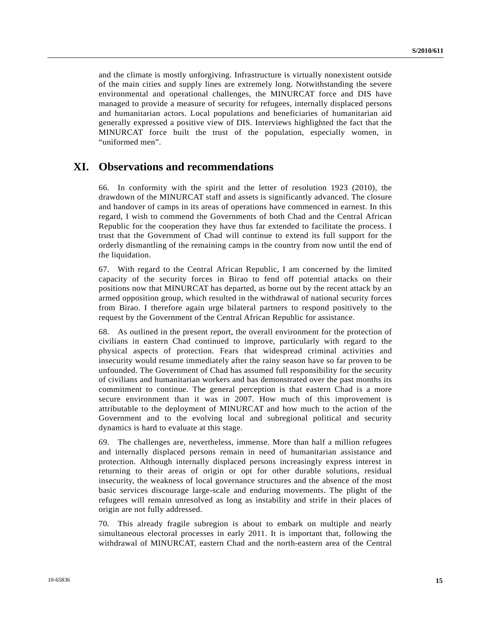and the climate is mostly unforgiving. Infrastructure is virtually nonexistent outside of the main cities and supply lines are extremely long. Notwithstanding the severe environmental and operational challenges, the MINURCAT force and DIS have managed to provide a measure of security for refugees, internally displaced persons and humanitarian actors. Local populations and beneficiaries of humanitarian aid generally expressed a positive view of DIS. Interviews highlighted the fact that the MINURCAT force built the trust of the population, especially women, in "uniformed men".

## **XI. Observations and recommendations**

66. In conformity with the spirit and the letter of resolution 1923 (2010), the drawdown of the MINURCAT staff and assets is significantly advanced. The closure and handover of camps in its areas of operations have commenced in earnest. In this regard, I wish to commend the Governments of both Chad and the Central African Republic for the cooperation they have thus far extended to facilitate the process. I trust that the Government of Chad will continue to extend its full support for the orderly dismantling of the remaining camps in the country from now until the end of the liquidation.

67. With regard to the Central African Republic, I am concerned by the limited capacity of the security forces in Birao to fend off potential attacks on their positions now that MINURCAT has departed, as borne out by the recent attack by an armed opposition group, which resulted in the withdrawal of national security forces from Birao. I therefore again urge bilateral partners to respond positively to the request by the Government of the Central African Republic for assistance.

68. As outlined in the present report, the overall environment for the protection of civilians in eastern Chad continued to improve, particularly with regard to the physical aspects of protection. Fears that widespread criminal activities and insecurity would resume immediately after the rainy season have so far proven to be unfounded. The Government of Chad has assumed full responsibility for the security of civilians and humanitarian workers and has demonstrated over the past months its commitment to continue. The general perception is that eastern Chad is a more secure environment than it was in 2007. How much of this improvement is attributable to the deployment of MINURCAT and how much to the action of the Government and to the evolving local and subregional political and security dynamics is hard to evaluate at this stage.

69. The challenges are, nevertheless, immense. More than half a million refugees and internally displaced persons remain in need of humanitarian assistance and protection. Although internally displaced persons increasingly express interest in returning to their areas of origin or opt for other durable solutions, residual insecurity, the weakness of local governance structures and the absence of the most basic services discourage large-scale and enduring movements. The plight of the refugees will remain unresolved as long as instability and strife in their places of origin are not fully addressed.

70. This already fragile subregion is about to embark on multiple and nearly simultaneous electoral processes in early 2011. It is important that, following the withdrawal of MINURCAT, eastern Chad and the north-eastern area of the Central